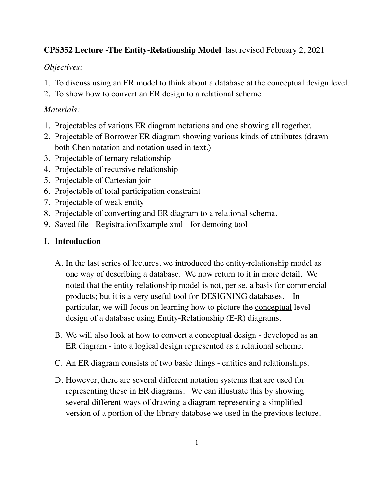# **CPS352 Lecture -The Entity-Relationship Model** last revised February 2, 2021

# *Objectives:*

- 1. To discuss using an ER model to think about a database at the conceptual design level.
- 2. To show how to convert an ER design to a relational scheme

# *Materials:*

- 1. Projectables of various ER diagram notations and one showing all together.
- 2. Projectable of Borrower ER diagram showing various kinds of attributes (drawn both Chen notation and notation used in text.)
- 3. Projectable of ternary relationship
- 4. Projectable of recursive relationship
- 5. Projectable of Cartesian join
- 6. Projectable of total participation constraint
- 7. Projectable of weak entity
- 8. Projectable of converting and ER diagram to a relational schema.
- 9. Saved file RegistrationExample.xml for demoing tool

# **I. Introduction**

- A. In the last series of lectures, we introduced the entity-relationship model as one way of describing a database. We now return to it in more detail. We noted that the entity-relationship model is not, per se, a basis for commercial products; but it is a very useful tool for DESIGNING databases. In particular, we will focus on learning how to picture the <u>conceptual</u> level design of a database using Entity-Relationship (E-R) diagrams.
- B. We will also look at how to convert a conceptual design developed as an ER diagram - into a logical design represented as a relational scheme.
- C. An ER diagram consists of two basic things entities and relationships.
- D. However, there are several different notation systems that are used for representing these in ER diagrams. We can illustrate this by showing several different ways of drawing a diagram representing a simplified version of a portion of the library database we used in the previous lecture.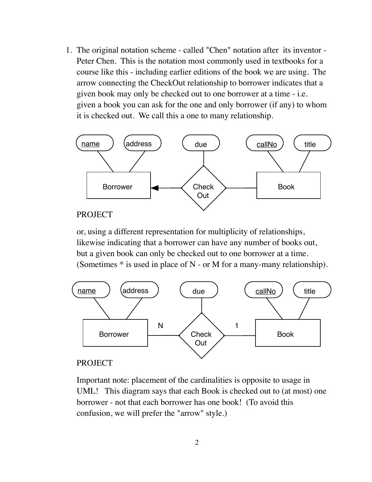1. The original notation scheme - called "Chen" notation after its inventor - Peter Chen. This is the notation most commonly used in textbooks for a course like this - including earlier editions of the book we are using. The arrow connecting the CheckOut relationship to borrower indicates that a given book may only be checked out to one borrower at a time - i.e. given a book you can ask for the one and only borrower (if any) to whom it is checked out. We call this a one to many relationship.



#### PROJECT

or, using a different representation for multiplicity of relationships, likewise indicating that a borrower can have any number of books out, but a given book can only be checked out to one borrower at a time. (Sometimes  $*$  is used in place of N - or M for a many-many relationship).



#### PROJECT

Important note: placement of the cardinalities is opposite to usage in UML! This diagram says that each Book is checked out to (at most) one borrower - not that each borrower has one book! (To avoid this confusion, we will prefer the "arrow" style.)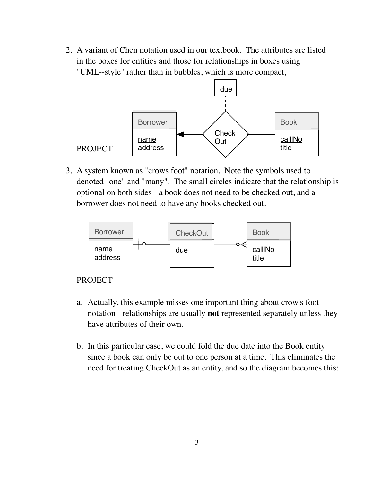2. A variant of Chen notation used in our textbook. The attributes are listed in the boxes for entities and those for relationships in boxes using "UML--style" rather than in bubbles, which is more compact,



3. A system known as "crows foot" notation. Note the symbols used to denoted "one" and "many". The small circles indicate that the relationship is optional on both sides - a book does not need to be checked out, and a borrower does not need to have any books checked out.



## PROJECT

- a. Actually, this example misses one important thing about crow's foot notation - relationships are usually **not** represented separately unless they have attributes of their own.
- b. In this particular case, we could fold the due date into the Book entity since a book can only be out to one person at a time. This eliminates the need for treating CheckOut as an entity, and so the diagram becomes this: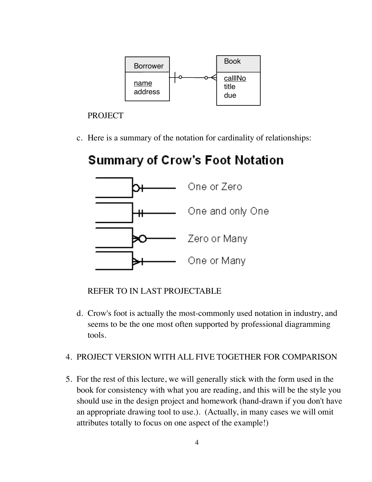

c. Here is a summary of the notation for cardinality of relationships:

# **Summary of Crow's Foot Notation**



REFER TO IN LAST PROJECTABLE

d. Crow's foot is actually the most-commonly used notation in industry, and seems to be the one most often supported by professional diagramming tools.

# 4. PROJECT VERSION WITH ALL FIVE TOGETHER FOR COMPARISON

5. For the rest of this lecture, we will generally stick with the form used in the book for consistency with what you are reading, and this will be the style you should use in the design project and homework (hand-drawn if you don't have an appropriate drawing tool to use.). (Actually, in many cases we will omit attributes totally to focus on one aspect of the example!)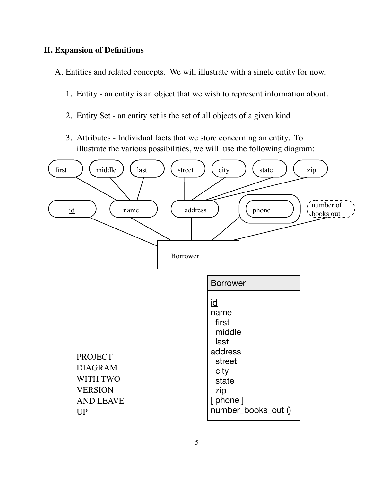## **II. Expansion of Definitions**

A. Entities and related concepts. We will illustrate with a single entity for now.

- 1. Entity an entity is an object that we wish to represent information about.
- 2. Entity Set an entity set is the set of all objects of a given kind
- 3. Attributes Individual facts that we store concerning an entity. To illustrate the various possibilities, we will use the following diagram:

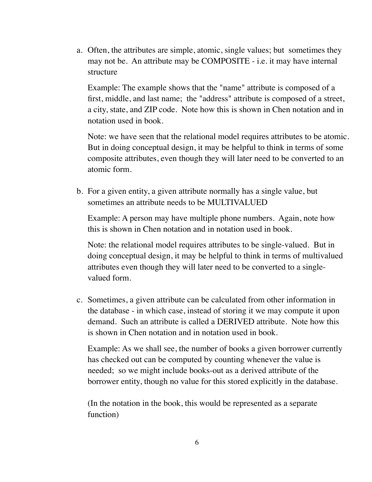a. Often, the attributes are simple, atomic, single values; but sometimes they may not be. An attribute may be COMPOSITE - i.e. it may have internal structure

Example: The example shows that the "name" attribute is composed of a first, middle, and last name; the "address" attribute is composed of a street, a city, state, and ZIP code. Note how this is shown in Chen notation and in notation used in book.

Note: we have seen that the relational model requires attributes to be atomic. But in doing conceptual design, it may be helpful to think in terms of some composite attributes, even though they will later need to be converted to an atomic form.

b. For a given entity, a given attribute normally has a single value, but sometimes an attribute needs to be MULTIVALUED

Example: A person may have multiple phone numbers. Again, note how this is shown in Chen notation and in notation used in book.

Note: the relational model requires attributes to be single-valued. But in doing conceptual design, it may be helpful to think in terms of multivalued attributes even though they will later need to be converted to a singlevalued form.

c. Sometimes, a given attribute can be calculated from other information in the database - in which case, instead of storing it we may compute it upon demand. Such an attribute is called a DERIVED attribute. Note how this is shown in Chen notation and in notation used in book.

Example: As we shall see, the number of books a given borrower currently has checked out can be computed by counting whenever the value is needed; so we might include books-out as a derived attribute of the borrower entity, though no value for this stored explicitly in the database.

(In the notation in the book, this would be represented as a separate function)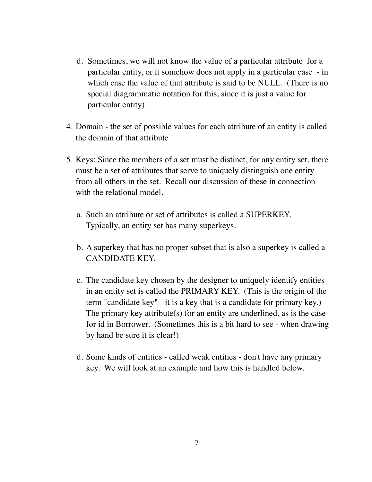- d. Sometimes, we will not know the value of a particular attribute for a particular entity, or it somehow does not apply in a particular case - in which case the value of that attribute is said to be NULL. (There is no special diagrammatic notation for this, since it is just a value for particular entity).
- 4. Domain the set of possible values for each attribute of an entity is called the domain of that attribute
- 5. Keys: Since the members of a set must be distinct, for any entity set, there must be a set of attributes that serve to uniquely distinguish one entity from all others in the set. Recall our discussion of these in connection with the relational model.
	- a. Such an attribute or set of attributes is called a SUPERKEY. Typically, an entity set has many superkeys.
	- b. A superkey that has no proper subset that is also a superkey is called a CANDIDATE KEY.
	- c. The candidate key chosen by the designer to uniquely identify entities in an entity set is called the PRIMARY KEY. (This is the origin of the term "candidate key" - it is a key that is a candidate for primary key.) The primary key attribute(s) for an entity are underlined, as is the case for id in Borrower. (Sometimes this is a bit hard to see - when drawing by hand be sure it is clear!)
	- d. Some kinds of entities called weak entities don't have any primary key. We will look at an example and how this is handled below.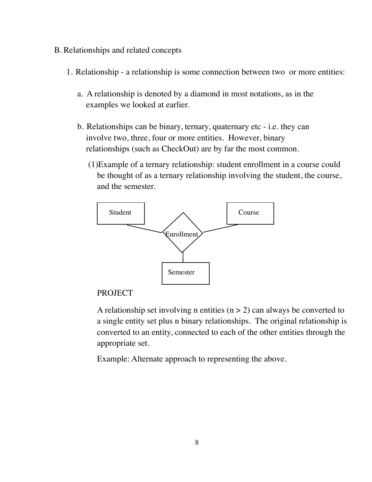- B. Relationships and related concepts
	- 1. Relationship a relationship is some connection between two or more entities:
		- a. A relationship is denoted by a diamond in most notations, as in the examples we looked at earlier.
		- b. Relationships can be binary, ternary, quaternary etc i.e. they can involve two, three, four or more entities. However, binary relationships (such as CheckOut) are by far the most common.
			- (1)Example of a ternary relationship: student enrollment in a course could be thought of as a ternary relationship involving the student, the course, and the semester.



A relationship set involving n entities  $(n > 2)$  can always be converted to a single entity set plus n binary relationships. The original relationship is converted to an entity, connected to each of the other entities through the appropriate set.

Example: Alternate approach to representing the above.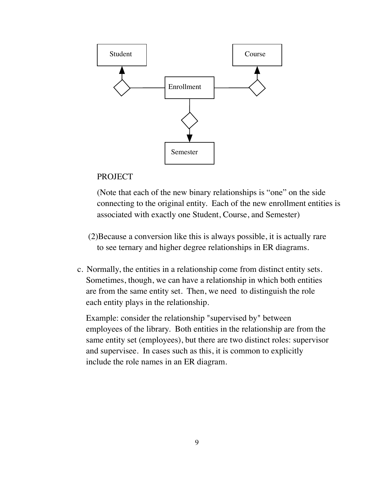

(Note that each of the new binary relationships is "one" on the side connecting to the original entity. Each of the new enrollment entities is associated with exactly one Student, Course, and Semester)

- (2)Because a conversion like this is always possible, it is actually rare to see ternary and higher degree relationships in ER diagrams.
- c. Normally, the entities in a relationship come from distinct entity sets. Sometimes, though, we can have a relationship in which both entities are from the same entity set. Then, we need to distinguish the role each entity plays in the relationship.

Example: consider the relationship "supervised by" between employees of the library. Both entities in the relationship are from the same entity set (employees), but there are two distinct roles: supervisor and supervisee. In cases such as this, it is common to explicitly include the role names in an ER diagram.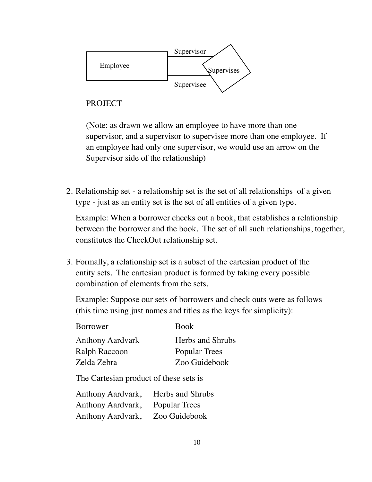

(Note: as drawn we allow an employee to have more than one supervisor, and a supervisor to supervisee more than one employee. If an employee had only one supervisor, we would use an arrow on the Supervisor side of the relationship)

2. Relationship set - a relationship set is the set of all relationships of a given type - just as an entity set is the set of all entities of a given type.

Example: When a borrower checks out a book, that establishes a relationship between the borrower and the book. The set of all such relationships, together, constitutes the CheckOut relationship set.

3. Formally, a relationship set is a subset of the cartesian product of the entity sets. The cartesian product is formed by taking every possible combination of elements from the sets.

Example: Suppose our sets of borrowers and check outs were as follows (this time using just names and titles as the keys for simplicity):

| Borrower                | <b>Book</b>          |
|-------------------------|----------------------|
| <b>Anthony Aardvark</b> | Herbs and Shrubs     |
| Ralph Raccoon           | <b>Popular Trees</b> |
| Zelda Zebra             | Zoo Guidebook        |

The Cartesian product of these sets is

| Anthony Aardvark, Herbs and Shrubs |  |
|------------------------------------|--|
| Anthony Aardvark, Popular Trees    |  |
| Anthony Aardvark, Zoo Guidebook    |  |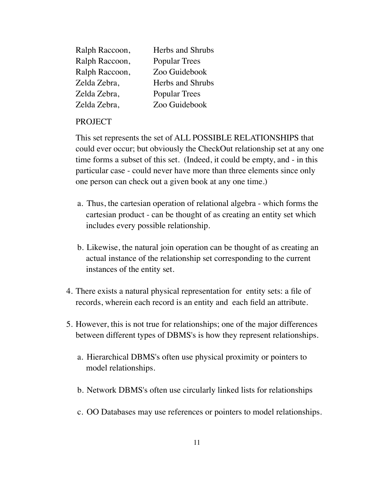| Ralph Raccoon, | Herbs and Shrubs     |
|----------------|----------------------|
| Ralph Raccoon, | <b>Popular Trees</b> |
| Ralph Raccoon, | Zoo Guidebook        |
| Zelda Zebra,   | Herbs and Shrubs     |
| Zelda Zebra,   | <b>Popular Trees</b> |
| Zelda Zebra,   | Zoo Guidebook        |

This set represents the set of ALL POSSIBLE RELATIONSHIPS that could ever occur; but obviously the CheckOut relationship set at any one time forms a subset of this set. (Indeed, it could be empty, and - in this particular case - could never have more than three elements since only one person can check out a given book at any one time.)

- a. Thus, the cartesian operation of relational algebra which forms the cartesian product - can be thought of as creating an entity set which includes every possible relationship.
- b. Likewise, the natural join operation can be thought of as creating an actual instance of the relationship set corresponding to the current instances of the entity set.
- 4. There exists a natural physical representation for entity sets: a file of records, wherein each record is an entity and each field an attribute.
- 5. However, this is not true for relationships; one of the major differences between different types of DBMS's is how they represent relationships.
	- a. Hierarchical DBMS's often use physical proximity or pointers to model relationships.
	- b. Network DBMS's often use circularly linked lists for relationships
	- c. OO Databases may use references or pointers to model relationships.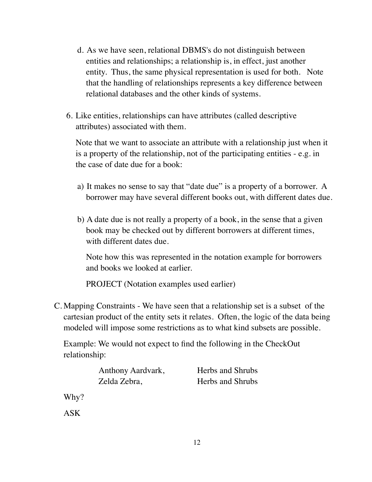- d. As we have seen, relational DBMS's do not distinguish between entities and relationships; a relationship is, in effect, just another entity. Thus, the same physical representation is used for both. Note that the handling of relationships represents a key difference between relational databases and the other kinds of systems.
- 6. Like entities, relationships can have attributes (called descriptive attributes) associated with them.

Note that we want to associate an attribute with a relationship just when it is a property of the relationship, not of the participating entities - e.g. in the case of date due for a book:

- a) It makes no sense to say that "date due" is a property of a borrower. A borrower may have several different books out, with different dates due.
- b) A date due is not really a property of a book, in the sense that a given book may be checked out by different borrowers at different times, with different dates due.

Note how this was represented in the notation example for borrowers and books we looked at earlier.

PROJECT (Notation examples used earlier)

C. Mapping Constraints - We have seen that a relationship set is a subset of the cartesian product of the entity sets it relates. Often, the logic of the data being modeled will impose some restrictions as to what kind subsets are possible.

Example: We would not expect to find the following in the CheckOut relationship:

| Anthony Aardvark, | Herbs and Shrubs |
|-------------------|------------------|
| Zelda Zebra,      | Herbs and Shrubs |

Why?

ASK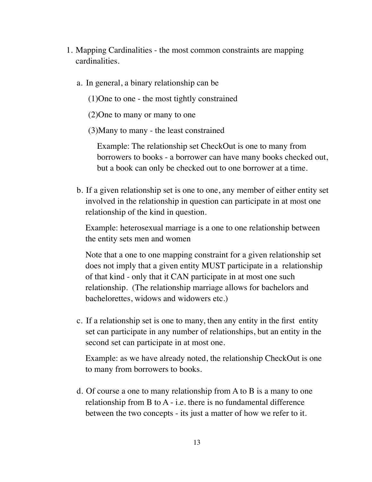- 1. Mapping Cardinalities the most common constraints are mapping cardinalities.
	- a. In general, a binary relationship can be
		- (1)One to one the most tightly constrained
		- (2)One to many or many to one
		- (3)Many to many the least constrained

Example: The relationship set CheckOut is one to many from borrowers to books - a borrower can have many books checked out, but a book can only be checked out to one borrower at a time.

b. If a given relationship set is one to one, any member of either entity set involved in the relationship in question can participate in at most one relationship of the kind in question.

Example: heterosexual marriage is a one to one relationship between the entity sets men and women

Note that a one to one mapping constraint for a given relationship set does not imply that a given entity MUST participate in a relationship of that kind - only that it CAN participate in at most one such relationship. (The relationship marriage allows for bachelors and bachelorettes, widows and widowers etc.)

c. If a relationship set is one to many, then any entity in the first entity set can participate in any number of relationships, but an entity in the second set can participate in at most one.

Example: as we have already noted, the relationship CheckOut is one to many from borrowers to books.

d. Of course a one to many relationship from A to B is a many to one relationship from B to A - i.e. there is no fundamental difference between the two concepts - its just a matter of how we refer to it.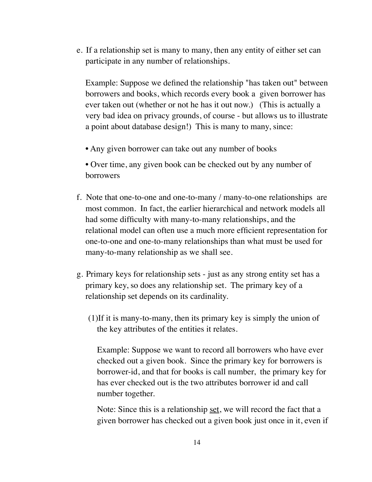e. If a relationship set is many to many, then any entity of either set can participate in any number of relationships.

Example: Suppose we defined the relationship "has taken out" between borrowers and books, which records every book a given borrower has ever taken out (whether or not he has it out now.) (This is actually a very bad idea on privacy grounds, of course - but allows us to illustrate a point about database design!) This is many to many, since:

- Any given borrower can take out any number of books
- Over time, any given book can be checked out by any number of borrowers
- f. Note that one-to-one and one-to-many / many-to-one relationships are most common. In fact, the earlier hierarchical and network models all had some difficulty with many-to-many relationships, and the relational model can often use a much more efficient representation for one-to-one and one-to-many relationships than what must be used for many-to-many relationship as we shall see.
- g. Primary keys for relationship sets just as any strong entity set has a primary key, so does any relationship set. The primary key of a relationship set depends on its cardinality.
	- (1)If it is many-to-many, then its primary key is simply the union of the key attributes of the entities it relates.

Example: Suppose we want to record all borrowers who have ever checked out a given book. Since the primary key for borrowers is borrower-id, and that for books is call number, the primary key for has ever checked out is the two attributes borrower id and call number together.

Note: Since this is a relationship set, we will record the fact that a given borrower has checked out a given book just once in it, even if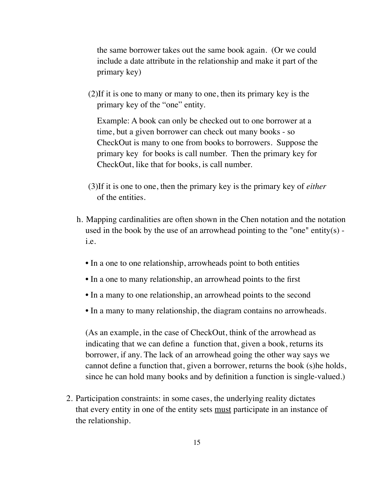the same borrower takes out the same book again. (Or we could include a date attribute in the relationship and make it part of the primary key)

(2)If it is one to many or many to one, then its primary key is the primary key of the "one" entity.

Example: A book can only be checked out to one borrower at a time, but a given borrower can check out many books - so CheckOut is many to one from books to borrowers. Suppose the primary key for books is call number. Then the primary key for CheckOut, like that for books, is call number.

- (3)If it is one to one, then the primary key is the primary key of *either* of the entities.
- h. Mapping cardinalities are often shown in the Chen notation and the notation used in the book by the use of an arrowhead pointing to the "one" entity(s) i.e.
	- In a one to one relationship, arrowheads point to both entities
	- In a one to many relationship, an arrowhead points to the first
	- In a many to one relationship, an arrowhead points to the second
	- In a many to many relationship, the diagram contains no arrowheads.

(As an example, in the case of CheckOut, think of the arrowhead as indicating that we can define a function that, given a book, returns its borrower, if any. The lack of an arrowhead going the other way says we cannot define a function that, given a borrower, returns the book (s)he holds, since he can hold many books and by definition a function is single-valued.)

2. Participation constraints: in some cases, the underlying reality dictates that every entity in one of the entity sets must participate in an instance of the relationship.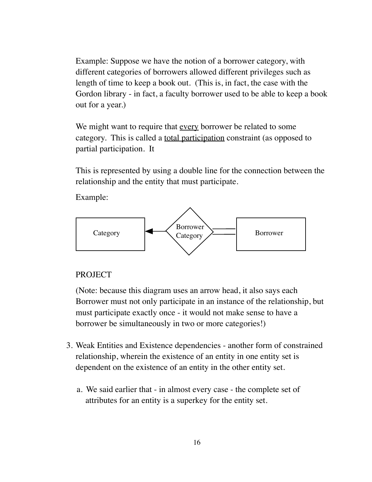Example: Suppose we have the notion of a borrower category, with different categories of borrowers allowed different privileges such as length of time to keep a book out. (This is, in fact, the case with the Gordon library - in fact, a faculty borrower used to be able to keep a book out for a year.)

We might want to require that every borrower be related to some category. This is called a total participation constraint (as opposed to partial participation. It

This is represented by using a double line for the connection between the relationship and the entity that must participate.

Example:



## **PROJECT**

(Note: because this diagram uses an arrow head, it also says each Borrower must not only participate in an instance of the relationship, but must participate exactly once - it would not make sense to have a borrower be simultaneously in two or more categories!)

- 3. Weak Entities and Existence dependencies another form of constrained relationship, wherein the existence of an entity in one entity set is dependent on the existence of an entity in the other entity set.
	- a. We said earlier that in almost every case the complete set of attributes for an entity is a superkey for the entity set.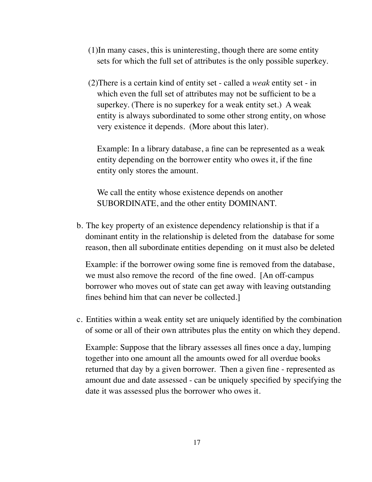- (1)In many cases, this is uninteresting, though there are some entity sets for which the full set of attributes is the only possible superkey.
- (2)There is a certain kind of entity set called a *weak* entity set in which even the full set of attributes may not be sufficient to be a superkey. (There is no superkey for a weak entity set.) A weak entity is always subordinated to some other strong entity, on whose very existence it depends. (More about this later).

Example: In a library database, a fine can be represented as a weak entity depending on the borrower entity who owes it, if the fine entity only stores the amount.

We call the entity whose existence depends on another SUBORDINATE, and the other entity DOMINANT.

b. The key property of an existence dependency relationship is that if a dominant entity in the relationship is deleted from the database for some reason, then all subordinate entities depending on it must also be deleted

Example: if the borrower owing some fine is removed from the database, we must also remove the record of the fine owed. [An off-campus borrower who moves out of state can get away with leaving outstanding fines behind him that can never be collected.]

c. Entities within a weak entity set are uniquely identified by the combination of some or all of their own attributes plus the entity on which they depend.

Example: Suppose that the library assesses all fines once a day, lumping together into one amount all the amounts owed for all overdue books returned that day by a given borrower. Then a given fine - represented as amount due and date assessed - can be uniquely specified by specifying the date it was assessed plus the borrower who owes it.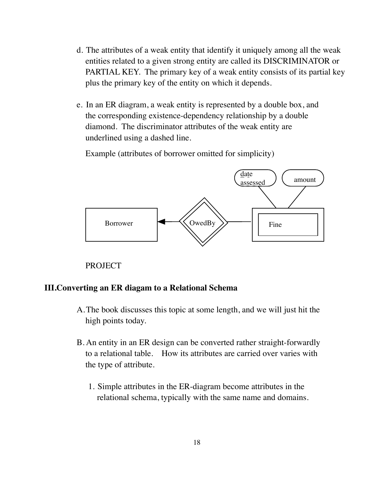- d. The attributes of a weak entity that identify it uniquely among all the weak entities related to a given strong entity are called its DISCRIMINATOR or PARTIAL KEY. The primary key of a weak entity consists of its partial key plus the primary key of the entity on which it depends.
- e. In an ER diagram, a weak entity is represented by a double box, and the corresponding existence-dependency relationship by a double diamond. The discriminator attributes of the weak entity are underlined using a dashed line.

Example (attributes of borrower omitted for simplicity)



PROJECT

#### **III.Converting an ER diagam to a Relational Schema**

- A.The book discusses this topic at some length, and we will just hit the high points today.
- B. An entity in an ER design can be converted rather straight-forwardly to a relational table. How its attributes are carried over varies with the type of attribute.
	- 1. Simple attributes in the ER-diagram become attributes in the relational schema, typically with the same name and domains.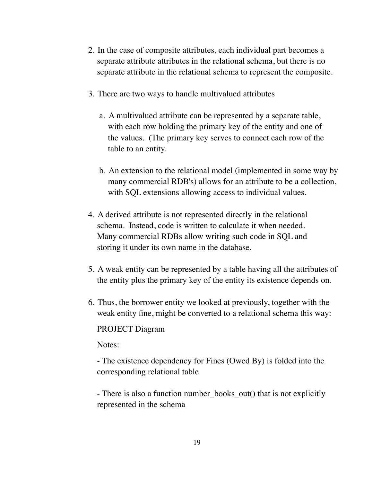- 2. In the case of composite attributes, each individual part becomes a separate attribute attributes in the relational schema, but there is no separate attribute in the relational schema to represent the composite.
- 3. There are two ways to handle multivalued attributes
	- a. A multivalued attribute can be represented by a separate table, with each row holding the primary key of the entity and one of the values. (The primary key serves to connect each row of the table to an entity.
	- b. An extension to the relational model (implemented in some way by many commercial RDB's) allows for an attribute to be a collection, with SQL extensions allowing access to individual values.
- 4. A derived attribute is not represented directly in the relational schema. Instead, code is written to calculate it when needed. Many commercial RDBs allow writing such code in SQL and storing it under its own name in the database.
- 5. A weak entity can be represented by a table having all the attributes of the entity plus the primary key of the entity its existence depends on.
- 6. Thus, the borrower entity we looked at previously, together with the weak entity fine, might be converted to a relational schema this way:

#### PROJECT Diagram

Notes:

- The existence dependency for Fines (Owed By) is folded into the corresponding relational table

- There is also a function number\_books\_out() that is not explicitly represented in the schema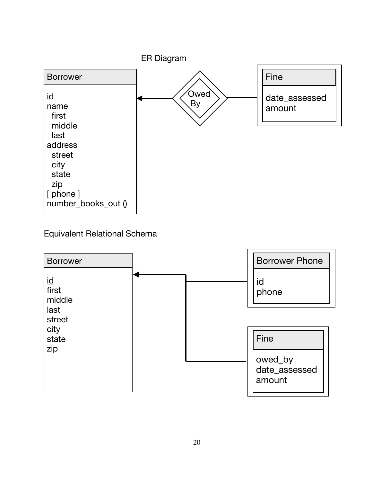

Equivalent Relational Schema